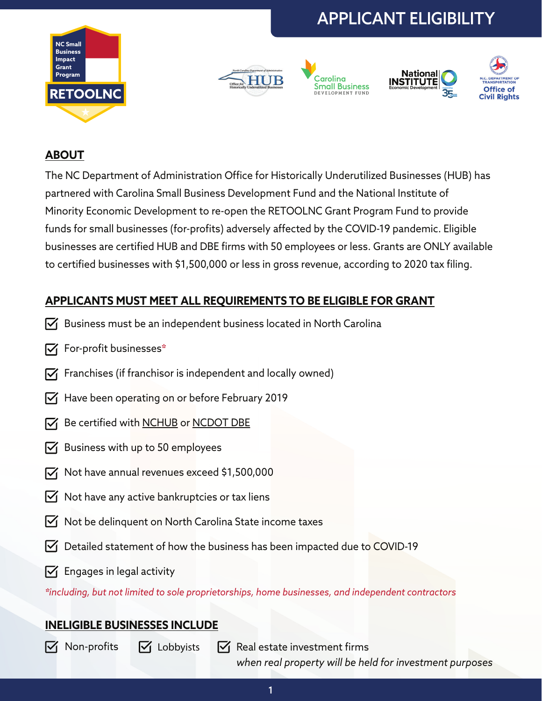# APPLICANT ELIGIBILITY











## **ABOUT**

The NC Department of Administration Office for Historically Underutilized Businesses (HUB) has partnered with Carolina Small Business Development Fund and the National Institute of Minority Economic Development to re-open the RETOOLNC Grant Program Fund to provide funds for small businesses (for-profits) adversely affected by the COVID-19 pandemic. Eligible businesses are certified HUB and DBE firms with 50 employees or less. Grants are ONLY available to certified businesses with \$1,500,000 or less in gross revenue, according to 2020 tax filing.

# **APPLICANTS MUST MEET ALL REQUIREMENTS TO BE ELIGIBLE FOR GRANT**

- $\overline{V}$  Business must be an independent business located in North Carolina
- $\triangledown$  For-profit businesses\*
- $\triangledown$  Franchises (if franchisor is independent and locally owned)
- $\triangledown$  Have been operating on or before February 2019
- $\overline{V}$  Be certified with [NCHUB](https://ncadmin.nc.gov/businesses/historically-underutilized-businesses-hub) or [NCDOT DBE](https://www.ncdot.gov/about-us/board-offices/offices/civil-rights/Pages/disadvantaged-business-enterprise.aspx)
- $\triangledown$  Business with up to 50 employees
- $\triangledown$  Not have annual revenues exceed \$1,500,000
- $\triangledown$  Not have any active bankruptcies or tax liens
- $\triangledown$  Not be delinquent on North Carolina State income taxes
- $\triangledown$  Detailed statement of how the business has been impacted due to COVID-19
- $\triangledown$  Engages in legal activity

*\*including, but not limited to sole proprietorships, home businesses, and independent contractors*

## **INELIGIBLE BUSINESSES INCLUDE**

 $\triangledown$  Non-profits

 $\triangledown$  Lobbyists  $\triangledown$  Real estate investment firms *when real property will be held for investment purposes*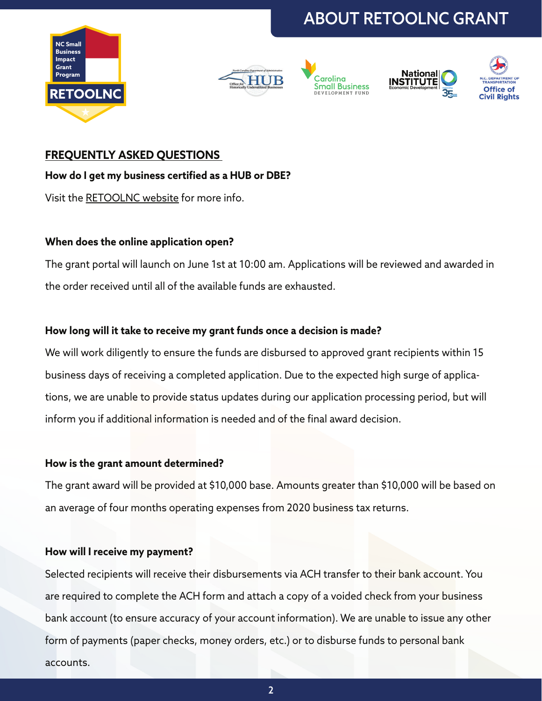









#### **FREQUENTLY ASKED QUESTIONS**

#### **How do I get my business certified as a HUB or DBE?**

Visit the [RETOOLNC website](https://ncadmin.nc.gov/retoolnc) for more info.

#### **When does the online application open?**

The grant portal will launch on June 1st at 10:00 am. Applications will be reviewed and awarded in the order received until all of the available funds are exhausted.

#### **How long will it take to receive my grant funds once a decision is made?**

We will work diligently to ensure the funds are disbursed to approved grant recipients within 15 business days of receiving a completed application. Due to the expected high surge of applications, we are unable to provide status updates during our application processing period, but will inform you if additional information is needed and of the final award decision.

#### **How is the grant amount determined?**

The grant award will be provided at \$10,000 base. Amounts greater than \$10,000 will be based on an average of four months operating expenses from 2020 business tax returns.

#### **How will I receive my payment?**

Selected recipients will receive their disbursements via ACH transfer to their bank account. You are required to complete the ACH form and attach a copy of a voided check from your business bank account (to ensure accuracy of your account information). We are unable to issue any other form of payments (paper checks, money orders, etc.) or to disburse funds to personal bank accounts.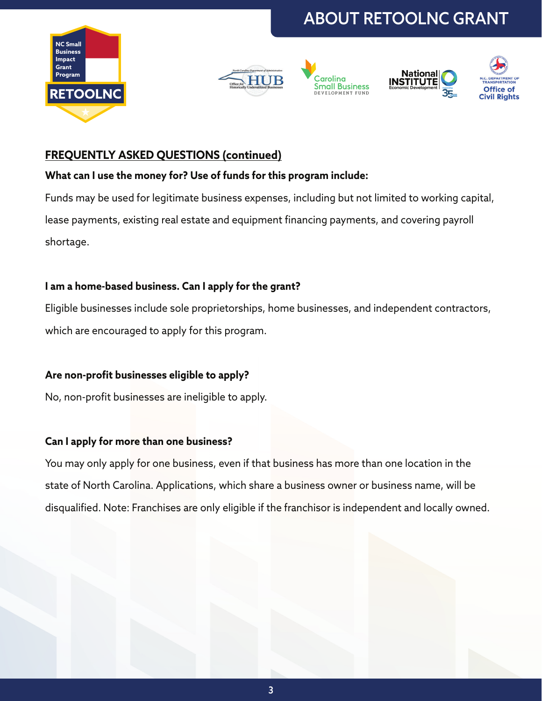









## **FREQUENTLY ASKED QUESTIONS (continued)**

### **What can I use the money for? Use of funds for this program include:**

Funds may be used for legitimate business expenses, including but not limited to working capital, lease payments, existing real estate and equipment financing payments, and covering payroll shortage.

### **I am a home-based business. Can I apply for the grant?**

Eligible businesses include sole proprietorships, home businesses, and independent contractors, which are encouraged to apply for this program.

### **Are non-profit businesses eligible to apply?**

No, non-profit businesses are ineligible to apply.

### **Can I apply for more than one business?**

You may only apply for one business, even if that business has more than one location in the state of North Carolina. Applications, which share a business owner or business name, will be disqualified. Note: Franchises are only eligible if the franchisor is independent and locally owned.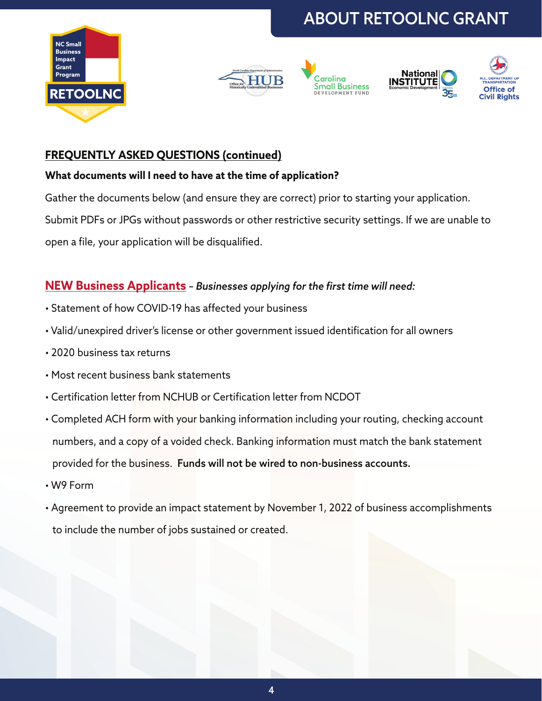









## **FREQUENTLY ASKED QUESTIONS (continued)**

### **What documents will I need to have at the time of application?**

Gather the documents below (and ensure they are correct) prior to starting your application.

Submit PDFs or JPGs without passwords or other restrictive security settings. If we are unable to

open a file, your application will be disqualified.

# **NEW Business Applicants** *– Businesses applying for the first time will need:*

- Statement of how COVID-19 has affected your business
- Valid/unexpired driver's license or other government issued identification for all owners
- 2020 business tax returns
- Most recent business bank statements
- Certification letter from NCHUB or Certification letter from NCDOT
- Completed ACH form with your banking information including your routing, checking account numbers, and a copy of a voided check. Banking information must match the bank statement provided for the business. Funds will not be wired to non-business accounts.
- W9 Form
- Agreement to provide an impact statement by November 1, 2022 of business accomplishments to include the number of jobs sustained or created.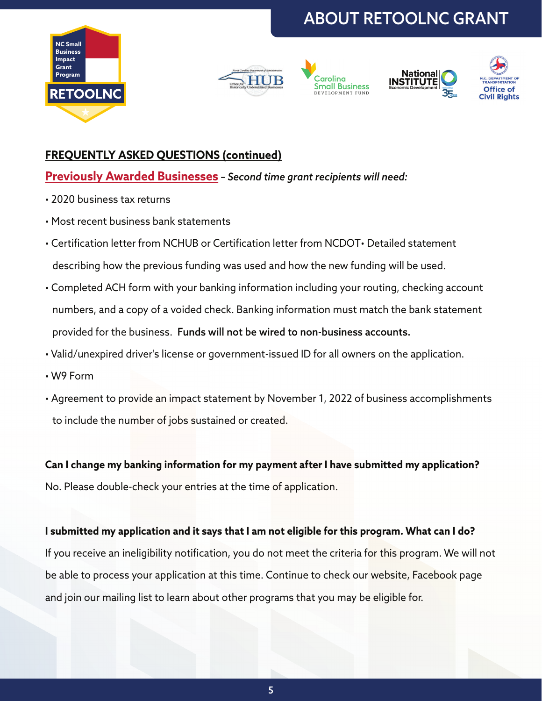









## **FREQUENTLY ASKED QUESTIONS (continued)**

### **Previously Awarded Businesses** *– Second time grant recipients will need:*

- 2020 business tax returns
- Most recent business bank statements
- Certification letter from NCHUB or Certification letter from NCDOT• Detailed statement describing how the previous funding was used and how the new funding will be used.
- Completed ACH form with your banking information including your routing, checking account numbers, and a copy of a voided check. Banking information must match the bank statement provided for the business. Funds will not be wired to non-business accounts.
- Valid/unexpired driver's license or government-issued ID for all owners on the application.
- W9 Form
- Agreement to provide an impact statement by November 1, 2022 of business accomplishments to include the number of jobs sustained or created.

**Can I change my banking information for my payment after I have submitted my application?** No. Please double-check your entries at the time of application.

#### **I submitted my application and it says that I am not eligible for this program. What can I do?**

If you receive an ineligibility notification, you do not meet the criteria for this program. We will not be able to process your application at this time. Continue to check our website, Facebook page and join our mailing list to learn about other programs that you may be eligible for.